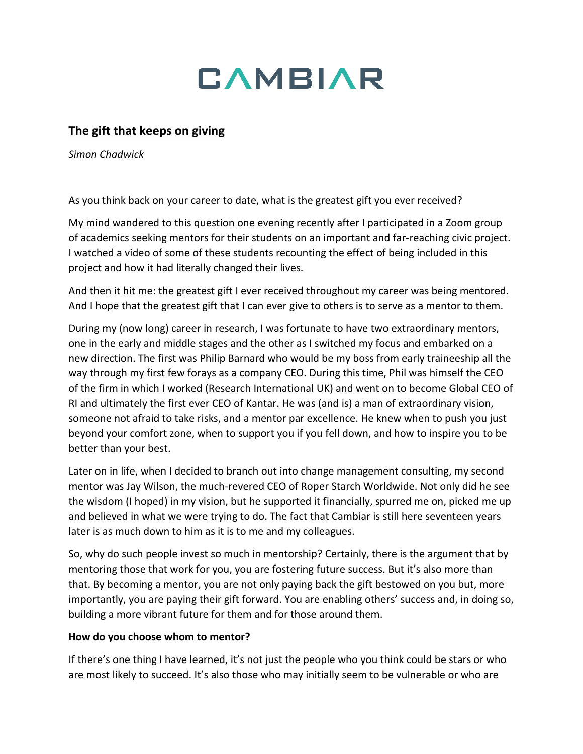

# **The gift that keeps on giving**

*Simon Chadwick*

As you think back on your career to date, what is the greatest gift you ever received?

My mind wandered to this question one evening recently after I participated in a Zoom group of academics seeking mentors for their students on an important and far-reaching civic project. I watched a video of some of these students recounting the effect of being included in this project and how it had literally changed their lives.

And then it hit me: the greatest gift I ever received throughout my career was being mentored. And I hope that the greatest gift that I can ever give to others is to serve as a mentor to them.

During my (now long) career in research, I was fortunate to have two extraordinary mentors, one in the early and middle stages and the other as I switched my focus and embarked on a new direction. The first was Philip Barnard who would be my boss from early traineeship all the way through my first few forays as a company CEO. During this time, Phil was himself the CEO of the firm in which I worked (Research International UK) and went on to become Global CEO of RI and ultimately the first ever CEO of Kantar. He was (and is) a man of extraordinary vision, someone not afraid to take risks, and a mentor par excellence. He knew when to push you just beyond your comfort zone, when to support you if you fell down, and how to inspire you to be better than your best.

Later on in life, when I decided to branch out into change management consulting, my second mentor was Jay Wilson, the much-revered CEO of Roper Starch Worldwide. Not only did he see the wisdom (I hoped) in my vision, but he supported it financially, spurred me on, picked me up and believed in what we were trying to do. The fact that Cambiar is still here seventeen years later is as much down to him as it is to me and my colleagues.

So, why do such people invest so much in mentorship? Certainly, there is the argument that by mentoring those that work for you, you are fostering future success. But it's also more than that. By becoming a mentor, you are not only paying back the gift bestowed on you but, more importantly, you are paying their gift forward. You are enabling others' success and, in doing so, building a more vibrant future for them and for those around them.

### **How do you choose whom to mentor?**

If there's one thing I have learned, it's not just the people who you think could be stars or who are most likely to succeed. It's also those who may initially seem to be vulnerable or who are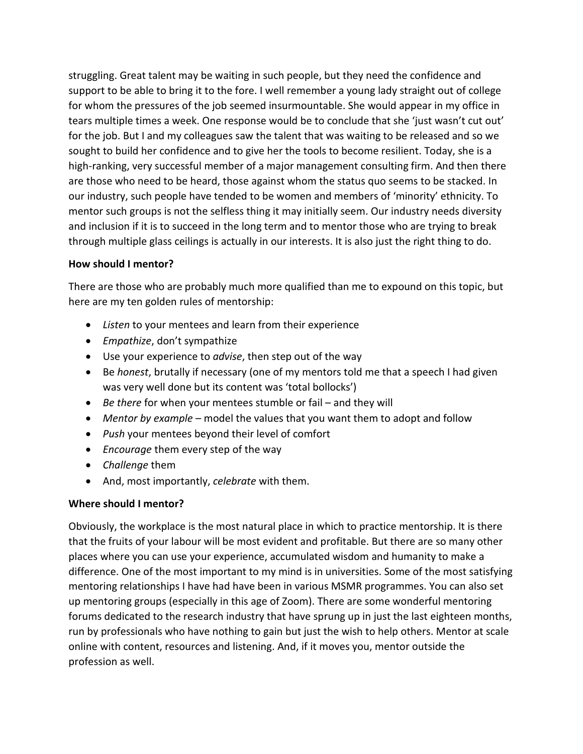struggling. Great talent may be waiting in such people, but they need the confidence and support to be able to bring it to the fore. I well remember a young lady straight out of college for whom the pressures of the job seemed insurmountable. She would appear in my office in tears multiple times a week. One response would be to conclude that she 'just wasn't cut out' for the job. But I and my colleagues saw the talent that was waiting to be released and so we sought to build her confidence and to give her the tools to become resilient. Today, she is a high-ranking, very successful member of a major management consulting firm. And then there are those who need to be heard, those against whom the status quo seems to be stacked. In our industry, such people have tended to be women and members of 'minority' ethnicity. To mentor such groups is not the selfless thing it may initially seem. Our industry needs diversity and inclusion if it is to succeed in the long term and to mentor those who are trying to break through multiple glass ceilings is actually in our interests. It is also just the right thing to do.

### **How should I mentor?**

There are those who are probably much more qualified than me to expound on this topic, but here are my ten golden rules of mentorship:

- *Listen* to your mentees and learn from their experience
- *Empathize*, don't sympathize
- Use your experience to *advise*, then step out of the way
- Be *honest*, brutally if necessary (one of my mentors told me that a speech I had given was very well done but its content was 'total bollocks')
- *Be there* for when your mentees stumble or fail and they will
- *Mentor by example* model the values that you want them to adopt and follow
- *Push* your mentees beyond their level of comfort
- *Encourage* them every step of the way
- *Challenge* them
- And, most importantly, *celebrate* with them.

## **Where should I mentor?**

Obviously, the workplace is the most natural place in which to practice mentorship. It is there that the fruits of your labour will be most evident and profitable. But there are so many other places where you can use your experience, accumulated wisdom and humanity to make a difference. One of the most important to my mind is in universities. Some of the most satisfying mentoring relationships I have had have been in various MSMR programmes. You can also set up mentoring groups (especially in this age of Zoom). There are some wonderful mentoring forums dedicated to the research industry that have sprung up in just the last eighteen months, run by professionals who have nothing to gain but just the wish to help others. Mentor at scale online with content, resources and listening. And, if it moves you, mentor outside the profession as well.